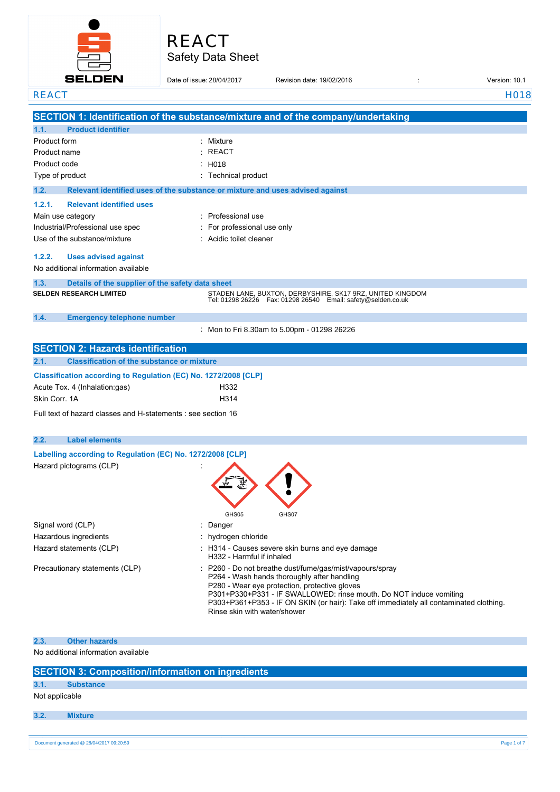

| REACT                    |
|--------------------------|
| <b>Safety Data Sheet</b> |

| <b>SELDEN</b>                                                                              | Date of issue: 28/04/2017 | Revision date: 19/02/2016                                                                                                                                                                                                                                                                                                                              | Version: 10.1     |
|--------------------------------------------------------------------------------------------|---------------------------|--------------------------------------------------------------------------------------------------------------------------------------------------------------------------------------------------------------------------------------------------------------------------------------------------------------------------------------------------------|-------------------|
| <b>REACT</b>                                                                               |                           |                                                                                                                                                                                                                                                                                                                                                        | H <sub>0</sub> 18 |
|                                                                                            |                           | SECTION 1: Identification of the substance/mixture and of the company/undertaking                                                                                                                                                                                                                                                                      |                   |
| 1.1.<br><b>Product identifier</b>                                                          |                           |                                                                                                                                                                                                                                                                                                                                                        |                   |
| Product form                                                                               | Mixture                   |                                                                                                                                                                                                                                                                                                                                                        |                   |
| Product name                                                                               | REACT                     |                                                                                                                                                                                                                                                                                                                                                        |                   |
| Product code                                                                               | : H018                    |                                                                                                                                                                                                                                                                                                                                                        |                   |
| Type of product                                                                            | : Technical product       |                                                                                                                                                                                                                                                                                                                                                        |                   |
| 1.2.                                                                                       |                           | Relevant identified uses of the substance or mixture and uses advised against                                                                                                                                                                                                                                                                          |                   |
| 1.2.1.<br><b>Relevant identified uses</b>                                                  |                           |                                                                                                                                                                                                                                                                                                                                                        |                   |
| Main use category                                                                          | : Professional use        |                                                                                                                                                                                                                                                                                                                                                        |                   |
| Industrial/Professional use spec                                                           |                           | For professional use only                                                                                                                                                                                                                                                                                                                              |                   |
| Use of the substance/mixture                                                               | Acidic toilet cleaner     |                                                                                                                                                                                                                                                                                                                                                        |                   |
| 1.2.2.<br><b>Uses advised against</b><br>No additional information available               |                           |                                                                                                                                                                                                                                                                                                                                                        |                   |
|                                                                                            |                           |                                                                                                                                                                                                                                                                                                                                                        |                   |
| 1.3.<br>Details of the supplier of the safety data sheet<br><b>SELDEN RESEARCH LIMITED</b> |                           | STADEN LANE, BUXTON, DERBYSHIRE, SK17 9RZ, UNITED KINGDOM                                                                                                                                                                                                                                                                                              |                   |
|                                                                                            |                           | Tel: 01298 26226    Fax: 01298 26540    Email: safety@selden.co.uk                                                                                                                                                                                                                                                                                     |                   |
| 1.4.<br><b>Emergency telephone number</b>                                                  |                           |                                                                                                                                                                                                                                                                                                                                                        |                   |
|                                                                                            |                           | : Mon to Fri 8.30am to 5.00pm - 01298 26226                                                                                                                                                                                                                                                                                                            |                   |
| <b>SECTION 2: Hazards identification</b>                                                   |                           |                                                                                                                                                                                                                                                                                                                                                        |                   |
| 2.1.<br><b>Classification of the substance or mixture</b>                                  |                           |                                                                                                                                                                                                                                                                                                                                                        |                   |
| Classification according to Regulation (EC) No. 1272/2008 [CLP]                            |                           |                                                                                                                                                                                                                                                                                                                                                        |                   |
| Acute Tox. 4 (Inhalation:gas)                                                              | H332                      |                                                                                                                                                                                                                                                                                                                                                        |                   |
| Skin Corr. 1A                                                                              | H314                      |                                                                                                                                                                                                                                                                                                                                                        |                   |
| Full text of hazard classes and H-statements : see section 16                              |                           |                                                                                                                                                                                                                                                                                                                                                        |                   |
|                                                                                            |                           |                                                                                                                                                                                                                                                                                                                                                        |                   |
| 2.2.<br><b>Label elements</b>                                                              |                           |                                                                                                                                                                                                                                                                                                                                                        |                   |
| Labelling according to Regulation (EC) No. 1272/2008 [CLP]                                 |                           |                                                                                                                                                                                                                                                                                                                                                        |                   |
| Hazard pictograms (CLP)                                                                    | GHS05                     | GHS07                                                                                                                                                                                                                                                                                                                                                  |                   |
| Signal word (CLP)                                                                          | Danger                    |                                                                                                                                                                                                                                                                                                                                                        |                   |
| Hazardous ingredients                                                                      | hydrogen chloride         |                                                                                                                                                                                                                                                                                                                                                        |                   |
| Hazard statements (CLP)                                                                    |                           | : H314 - Causes severe skin burns and eye damage<br>H332 - Harmful if inhaled                                                                                                                                                                                                                                                                          |                   |
| Precautionary statements (CLP)                                                             |                           | P260 - Do not breathe dust/fume/gas/mist/vapours/spray<br>P264 - Wash hands thoroughly after handling<br>P280 - Wear eye protection, protective gloves<br>P301+P330+P331 - IF SWALLOWED: rinse mouth. Do NOT induce vomiting<br>P303+P361+P353 - IF ON SKIN (or hair): Take off immediately all contaminated clothing.<br>Rinse skin with water/shower |                   |
| 2.3.<br><b>Other hazards</b>                                                               |                           |                                                                                                                                                                                                                                                                                                                                                        |                   |

No additional information available

|      | <b>SECTION 3: Composition/information on ingredients</b> |             |
|------|----------------------------------------------------------|-------------|
| 3.1. | <b>Substance</b>                                         |             |
|      | Not applicable                                           |             |
| 3.2. | <b>Mixture</b>                                           |             |
|      |                                                          |             |
|      | Document generated @ 28/04/2017 09:20:59                 | Page 1 of 7 |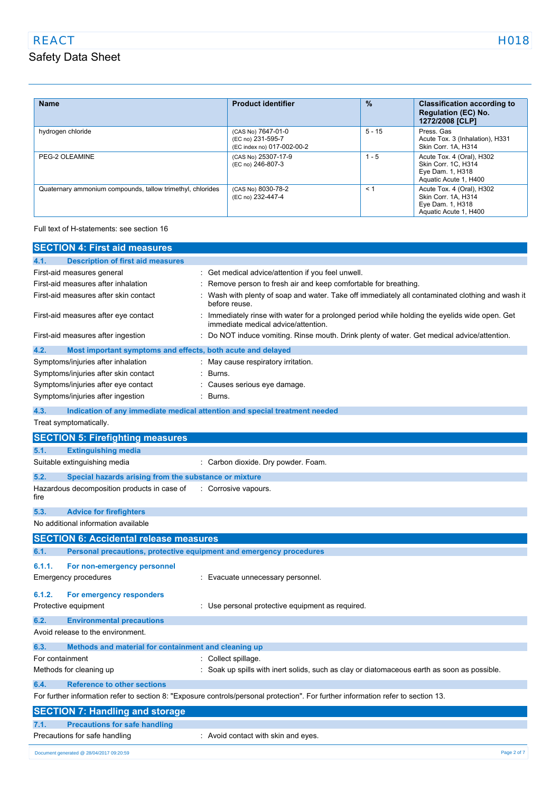| <b>Name</b>                                                | <b>Product identifier</b>                                             | $\%$     | <b>Classification according to</b><br><b>Regulation (EC) No.</b><br>1272/2008 [CLP]           |
|------------------------------------------------------------|-----------------------------------------------------------------------|----------|-----------------------------------------------------------------------------------------------|
| hydrogen chloride                                          | (CAS No) 7647-01-0<br>(EC no) 231-595-7<br>(EC index no) 017-002-00-2 | $5 - 15$ | Press, Gas<br>Acute Tox. 3 (Inhalation), H331<br>Skin Corr. 1A, H314                          |
| PEG-2 OLEAMINE                                             | (CAS No) 25307-17-9<br>(EC no) 246-807-3                              | $1 - 5$  | Acute Tox. 4 (Oral), H302<br>Skin Corr. 1C. H314<br>Eye Dam. 1, H318<br>Aquatic Acute 1, H400 |
| Quaternary ammonium compounds, tallow trimethyl, chlorides | (CAS No) 8030-78-2<br>(EC no) 232-447-4                               | $\leq 1$ | Acute Tox. 4 (Oral), H302<br>Skin Corr. 1A, H314<br>Eye Dam. 1, H318<br>Aquatic Acute 1, H400 |

Full text of H-statements: see section 16

|                                          | <b>SECTION 4: First aid measures</b>                        |                                                                                                                                     |
|------------------------------------------|-------------------------------------------------------------|-------------------------------------------------------------------------------------------------------------------------------------|
| 4.1.                                     | <b>Description of first aid measures</b>                    |                                                                                                                                     |
| First-aid measures general               |                                                             | : Get medical advice/attention if you feel unwell.                                                                                  |
| First-aid measures after inhalation      |                                                             | Remove person to fresh air and keep comfortable for breathing.                                                                      |
|                                          | First-aid measures after skin contact                       | Wash with plenty of soap and water. Take off immediately all contaminated clothing and wash it<br>before reuse.                     |
|                                          | First-aid measures after eye contact                        | Immediately rinse with water for a prolonged period while holding the eyelids wide open. Get<br>immediate medical advice/attention. |
| First-aid measures after ingestion       |                                                             | Do NOT induce vomiting. Rinse mouth. Drink plenty of water. Get medical advice/attention.                                           |
| 4.2.                                     | Most important symptoms and effects, both acute and delayed |                                                                                                                                     |
| Symptoms/injuries after inhalation       |                                                             | May cause respiratory irritation.                                                                                                   |
|                                          | Symptoms/injuries after skin contact                        | Burns.                                                                                                                              |
| Symptoms/injuries after eye contact      |                                                             | Causes serious eye damage.                                                                                                          |
| Symptoms/injuries after ingestion        |                                                             | Burns.                                                                                                                              |
| 4.3.                                     |                                                             | Indication of any immediate medical attention and special treatment needed                                                          |
| Treat symptomatically.                   |                                                             |                                                                                                                                     |
|                                          | <b>SECTION 5: Firefighting measures</b>                     |                                                                                                                                     |
| 5.1.                                     | <b>Extinguishing media</b>                                  |                                                                                                                                     |
| Suitable extinguishing media             |                                                             | Carbon dioxide. Dry powder. Foam.                                                                                                   |
| 5.2.                                     | Special hazards arising from the substance or mixture       |                                                                                                                                     |
| fire                                     | Hazardous decomposition products in case of                 | : Corrosive vapours.                                                                                                                |
| 5.3.                                     | <b>Advice for firefighters</b>                              |                                                                                                                                     |
| No additional information available      |                                                             |                                                                                                                                     |
|                                          | <b>SECTION 6: Accidental release measures</b>               |                                                                                                                                     |
| 6.1.                                     |                                                             | Personal precautions, protective equipment and emergency procedures                                                                 |
| 6.1.1.                                   | For non-emergency personnel                                 |                                                                                                                                     |
| <b>Emergency procedures</b>              |                                                             | Evacuate unnecessary personnel.                                                                                                     |
|                                          |                                                             |                                                                                                                                     |
| 6.1.2.                                   | For emergency responders                                    |                                                                                                                                     |
| Protective equipment                     |                                                             | : Use personal protective equipment as required.                                                                                    |
| 6.2.                                     | <b>Environmental precautions</b>                            |                                                                                                                                     |
| Avoid release to the environment.        |                                                             |                                                                                                                                     |
| 6.3.                                     | Methods and material for containment and cleaning up        |                                                                                                                                     |
| For containment                          |                                                             | : Collect spillage.                                                                                                                 |
| Methods for cleaning up                  |                                                             | Soak up spills with inert solids, such as clay or diatomaceous earth as soon as possible.                                           |
| 6.4.                                     | <b>Reference to other sections</b>                          |                                                                                                                                     |
|                                          |                                                             | For further information refer to section 8: "Exposure controls/personal protection". For further information refer to section 13.   |
|                                          | <b>SECTION 7: Handling and storage</b>                      |                                                                                                                                     |
| 7.1.                                     | <b>Precautions for safe handling</b>                        |                                                                                                                                     |
| Precautions for safe handling            |                                                             | : Avoid contact with skin and eyes.                                                                                                 |
| Document generated @ 28/04/2017 09:20:59 |                                                             | Page 2 of 7                                                                                                                         |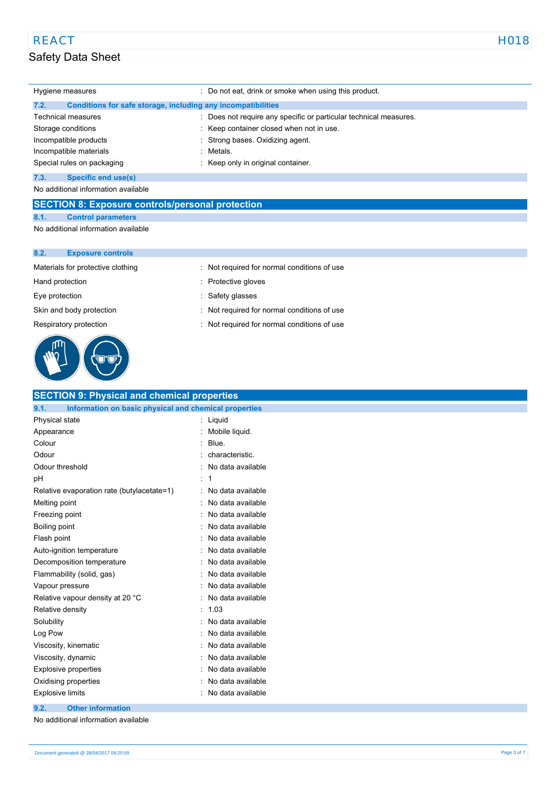Incompatible materials **incompatible** materials Special rules on packaging **in the set of the Special rules** on packaging in the Keep only in original container.

## **7.3. Specific end use(s)**

No additional information available

### **SECTION 8: Exposure controls/personal protection**

**8.1. Control parameters**

No additional information available

| 8.2. | <b>Exposure controls</b> |
|------|--------------------------|
|------|--------------------------|

Materials for protective clothing : Not required for normal conditions of use

Hand protection **in the contract of the Contract Serverse** Protective gloves

Eye protection : Safety glasses



| Eye protection           | : Sarety glasses                            |
|--------------------------|---------------------------------------------|
| Skin and body protection | : Not required for normal conditions of use |

Respiratory protection **interest in the COV** Not required for normal conditions of use

| <b>SECTION 9: Physical and chemical properties</b>            |    |                   |  |
|---------------------------------------------------------------|----|-------------------|--|
| Information on basic physical and chemical properties<br>9.1. |    |                   |  |
| Physical state                                                | ÷. | Liquid            |  |
| Appearance                                                    |    | Mobile liquid.    |  |
| Colour                                                        |    | Blue.             |  |
| Odour                                                         |    | characteristic.   |  |
| Odour threshold                                               |    | No data available |  |
| рH                                                            |    | 1                 |  |
| Relative evaporation rate (butylacetate=1)                    |    | No data available |  |
| Melting point                                                 |    | No data available |  |
| Freezing point                                                |    | No data available |  |
| Boiling point                                                 |    | No data available |  |
| Flash point                                                   |    | No data available |  |
| Auto-ignition temperature                                     |    | No data available |  |
| Decomposition temperature                                     |    | No data available |  |
| Flammability (solid, gas)                                     |    | No data available |  |
| Vapour pressure                                               |    | No data available |  |
| Relative vapour density at 20 °C                              |    | No data available |  |
| Relative density                                              |    | 1.03              |  |
| Solubility                                                    |    | No data available |  |
| Log Pow                                                       |    | No data available |  |
| Viscosity, kinematic                                          |    | No data available |  |
| Viscosity, dynamic                                            |    | No data available |  |
| <b>Explosive properties</b>                                   |    | No data available |  |
| Oxidising properties<br>No data available                     |    |                   |  |
| <b>Explosive limits</b><br>No data available                  |    |                   |  |
| <b>Other information</b><br>9.2.                              |    |                   |  |
| No additional information available                           |    |                   |  |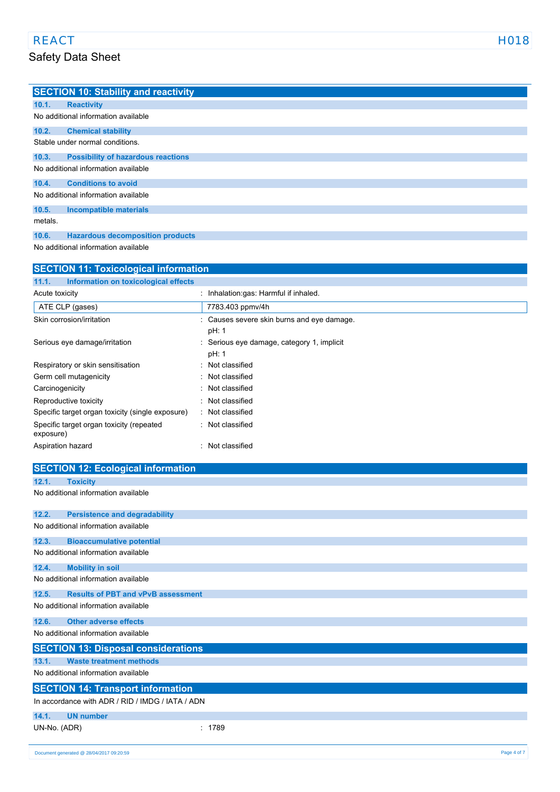|         | <b>SECTION 10: Stability and reactivity</b> |
|---------|---------------------------------------------|
| 10.1.   | <b>Reactivity</b>                           |
|         | No additional information available         |
| 10.2.   | <b>Chemical stability</b>                   |
|         | Stable under normal conditions.             |
| 10.3.   | <b>Possibility of hazardous reactions</b>   |
|         | No additional information available         |
| 10.4.   | <b>Conditions to avoid</b>                  |
|         | No additional information available         |
| 10.5.   | <b>Incompatible materials</b>               |
| metals. |                                             |
| 10.6.   | <b>Hazardous decomposition products</b>     |

No additional information available

| <b>SECTION 11: Toxicological information</b>          |                                                     |  |
|-------------------------------------------------------|-----------------------------------------------------|--|
| Information on toxicological effects<br>11.1.         |                                                     |  |
| Acute toxicity                                        | Inhalation:gas: Harmful if inhaled.                 |  |
| ATE CLP (gases)                                       | 7783.403 ppmv/4h                                    |  |
| Skin corrosion/irritation                             | : Causes severe skin burns and eye damage.<br>pH: 1 |  |
| Serious eye damage/irritation                         | Serious eye damage, category 1, implicit<br>pH: 1   |  |
| Respiratory or skin sensitisation                     | : Not classified                                    |  |
| Germ cell mutagenicity                                | : Not classified                                    |  |
| Carcinogenicity                                       | : Not classified                                    |  |
| Reproductive toxicity                                 | Not classified                                      |  |
| Specific target organ toxicity (single exposure)      | : Not classified                                    |  |
| Specific target organ toxicity (repeated<br>exposure) | : Not classified                                    |  |
| Aspiration hazard                                     | Not classified                                      |  |

|              | <b>SECTION 12: Ecological information</b>               |  |
|--------------|---------------------------------------------------------|--|
| 12.1.        | <b>Toxicity</b>                                         |  |
|              | No additional information available                     |  |
| 12.2.        | <b>Persistence and degradability</b>                    |  |
|              | No additional information available                     |  |
| 12.3.        | <b>Bioaccumulative potential</b>                        |  |
|              | No additional information available                     |  |
| 12.4.        | <b>Mobility in soil</b>                                 |  |
|              | No additional information available                     |  |
| 12.5.        | <b>Results of PBT and vPvB assessment</b>               |  |
|              | No additional information available                     |  |
| 12.6.        | <b>Other adverse effects</b>                            |  |
|              | No additional information available                     |  |
|              | <b>SECTION 13: Disposal considerations</b>              |  |
| 13.1.        | <b>Waste treatment methods</b>                          |  |
|              | No additional information available                     |  |
|              | <b>SECTION 14: Transport information</b>                |  |
|              | In accordance with ADR / RID / IMDG / IATA / ADN        |  |
| 14.1.        | <b>UN number</b>                                        |  |
| UN-No. (ADR) | : 1789                                                  |  |
|              | Page 4 of 7<br>Document generated @ 28/04/2017 09:20:59 |  |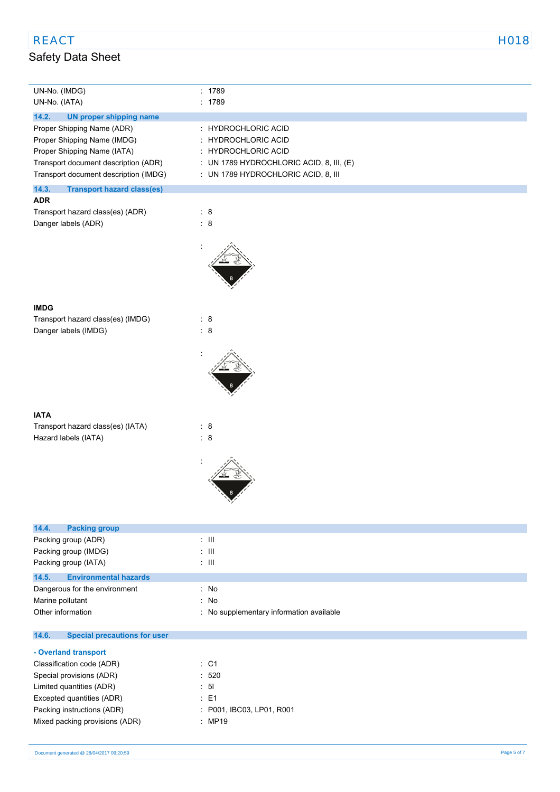| UN-No. (IMDG)<br>UN-No. (IATA)                                                                                                                                            | : 1789<br>: 1789                                                                                                                                                          |
|---------------------------------------------------------------------------------------------------------------------------------------------------------------------------|---------------------------------------------------------------------------------------------------------------------------------------------------------------------------|
| 14.2.<br><b>UN proper shipping name</b>                                                                                                                                   |                                                                                                                                                                           |
| Proper Shipping Name (ADR)<br>Proper Shipping Name (IMDG)<br>Proper Shipping Name (IATA)<br>Transport document description (ADR)<br>Transport document description (IMDG) | : HYDROCHLORIC ACID<br><b>HYDROCHLORIC ACID</b><br>t.<br><b>HYDROCHLORIC ACID</b><br>÷<br>: UN 1789 HYDROCHLORIC ACID, 8, III, (E)<br>: UN 1789 HYDROCHLORIC ACID, 8, III |
| 14.3.<br><b>Transport hazard class(es)</b>                                                                                                                                |                                                                                                                                                                           |
| <b>ADR</b><br>Transport hazard class(es) (ADR)<br>Danger labels (ADR)                                                                                                     | : 8<br>$\begin{array}{cc} . & 8 \end{array}$                                                                                                                              |
|                                                                                                                                                                           |                                                                                                                                                                           |
| <b>IMDG</b>                                                                                                                                                               |                                                                                                                                                                           |
| Transport hazard class(es) (IMDG)                                                                                                                                         | $\begin{array}{cc} . & 8 \end{array}$                                                                                                                                     |
| Danger labels (IMDG)                                                                                                                                                      | $\therefore$ 8                                                                                                                                                            |
|                                                                                                                                                                           |                                                                                                                                                                           |
| <b>IATA</b>                                                                                                                                                               |                                                                                                                                                                           |
| Transport hazard class(es) (IATA)                                                                                                                                         | : 8                                                                                                                                                                       |
| Hazard labels (IATA)                                                                                                                                                      | $\therefore$ 8                                                                                                                                                            |
|                                                                                                                                                                           |                                                                                                                                                                           |

| 14.4.<br><b>Packing group</b>         |                                          |
|---------------------------------------|------------------------------------------|
| Packing group (ADR)                   | ÷ III                                    |
| Packing group (IMDG)                  | $\pm$ 11                                 |
| Packing group (IATA)                  | $\pm$ 111                                |
| 14.5.<br><b>Environmental hazards</b> |                                          |
| Dangerous for the environment         | : No                                     |
| Marine pollutant                      | : No                                     |
| Other information                     | : No supplementary information available |

#### $14.6.$ **14.6. Special precautions for user**

### **- Overland transport** Classification code (ADR) : C1 Special provisions (ADR)  $\qquad \qquad$  : 520 Limited quantities (ADR) : 5l Excepted quantities (ADR) : E1 Packing instructions (ADR) : P001, IBC03, LP01, R001 Mixed packing provisions (ADR) : MP19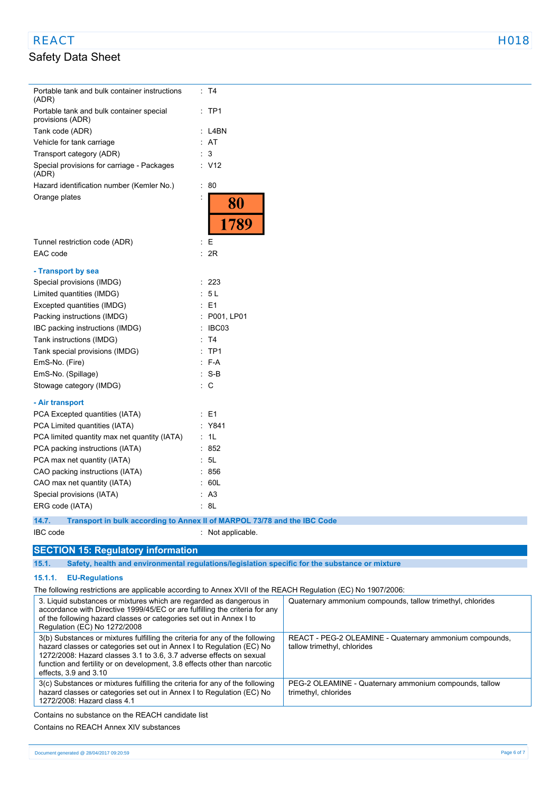# REACT EXAMPLE THE REACT AND REACT AND REACT AND REACT AND REACT AND REACT AND REACT AND REACT AND REACT AND RE

# Safety Data Sheet

| Portable tank and bulk container instructions<br>(ADR)                                                                                                                                                                                                                                                                             | : T4               |                                                                                        |
|------------------------------------------------------------------------------------------------------------------------------------------------------------------------------------------------------------------------------------------------------------------------------------------------------------------------------------|--------------------|----------------------------------------------------------------------------------------|
| Portable tank and bulk container special<br>provisions (ADR)                                                                                                                                                                                                                                                                       | $:$ TP1            |                                                                                        |
| Tank code (ADR)                                                                                                                                                                                                                                                                                                                    | : L4BN             |                                                                                        |
| Vehicle for tank carriage                                                                                                                                                                                                                                                                                                          | : AT               |                                                                                        |
| Transport category (ADR)                                                                                                                                                                                                                                                                                                           | $\therefore$ 3     |                                                                                        |
| Special provisions for carriage - Packages<br>(ADR)                                                                                                                                                                                                                                                                                | : V12              |                                                                                        |
| Hazard identification number (Kemler No.)                                                                                                                                                                                                                                                                                          | $\cdot$ 80         |                                                                                        |
| Orange plates                                                                                                                                                                                                                                                                                                                      | 80<br>1789         |                                                                                        |
| Tunnel restriction code (ADR)                                                                                                                                                                                                                                                                                                      | : E                |                                                                                        |
| EAC code                                                                                                                                                                                                                                                                                                                           | : 2R               |                                                                                        |
|                                                                                                                                                                                                                                                                                                                                    |                    |                                                                                        |
| - Transport by sea<br>Special provisions (IMDG)                                                                                                                                                                                                                                                                                    | : 223              |                                                                                        |
| Limited quantities (IMDG)                                                                                                                                                                                                                                                                                                          | : 5L               |                                                                                        |
| Excepted quantities (IMDG)                                                                                                                                                                                                                                                                                                         | : E1               |                                                                                        |
| Packing instructions (IMDG)                                                                                                                                                                                                                                                                                                        | : P001, LP01       |                                                                                        |
| IBC packing instructions (IMDG)                                                                                                                                                                                                                                                                                                    | $\therefore$ IBC03 |                                                                                        |
| Tank instructions (IMDG)                                                                                                                                                                                                                                                                                                           | : T4               |                                                                                        |
| Tank special provisions (IMDG)                                                                                                                                                                                                                                                                                                     | $:$ TP1            |                                                                                        |
| EmS-No. (Fire)                                                                                                                                                                                                                                                                                                                     | $: F-A$            |                                                                                        |
| EmS-No. (Spillage)                                                                                                                                                                                                                                                                                                                 | $:$ S-B            |                                                                                        |
| Stowage category (IMDG)                                                                                                                                                                                                                                                                                                            | $\therefore$ C     |                                                                                        |
|                                                                                                                                                                                                                                                                                                                                    |                    |                                                                                        |
| - Air transport                                                                                                                                                                                                                                                                                                                    |                    |                                                                                        |
| PCA Excepted quantities (IATA)                                                                                                                                                                                                                                                                                                     | $\therefore$ E1    |                                                                                        |
| PCA Limited quantities (IATA)                                                                                                                                                                                                                                                                                                      | : Y841             |                                                                                        |
| PCA limited quantity max net quantity (IATA)                                                                                                                                                                                                                                                                                       | : 1L               |                                                                                        |
| PCA packing instructions (IATA)                                                                                                                                                                                                                                                                                                    | : 852              |                                                                                        |
| PCA max net quantity (IATA)                                                                                                                                                                                                                                                                                                        | : 5L               |                                                                                        |
| CAO packing instructions (IATA)                                                                                                                                                                                                                                                                                                    | : 856              |                                                                                        |
| CAO max net quantity (IATA)                                                                                                                                                                                                                                                                                                        | : 60L              |                                                                                        |
| Special provisions (IATA)                                                                                                                                                                                                                                                                                                          | : A3               |                                                                                        |
| ERG code (IATA)                                                                                                                                                                                                                                                                                                                    | : 8L               |                                                                                        |
| Transport in bulk according to Annex II of MARPOL 73/78 and the IBC Code<br>14.7.                                                                                                                                                                                                                                                  |                    |                                                                                        |
| IBC code                                                                                                                                                                                                                                                                                                                           | Not applicable.    |                                                                                        |
|                                                                                                                                                                                                                                                                                                                                    |                    |                                                                                        |
| <b>SECTION 15: Regulatory information</b>                                                                                                                                                                                                                                                                                          |                    |                                                                                        |
| 15.1.<br>Safety, health and environmental regulations/legislation specific for the substance or mixture                                                                                                                                                                                                                            |                    |                                                                                        |
| 15.1.1.<br><b>EU-Regulations</b>                                                                                                                                                                                                                                                                                                   |                    |                                                                                        |
| The following restrictions are applicable according to Annex XVII of the REACH Regulation (EC) No 1907/2006:                                                                                                                                                                                                                       |                    |                                                                                        |
| 3. Liquid substances or mixtures which are regarded as dangerous in<br>accordance with Directive 1999/45/EC or are fulfilling the criteria for any<br>of the following hazard classes or categories set out in Annex I to<br>Regulation (EC) No 1272/2008                                                                          |                    | Quaternary ammonium compounds, tallow trimethyl, chlorides                             |
| 3(b) Substances or mixtures fulfilling the criteria for any of the following<br>hazard classes or categories set out in Annex I to Regulation (EC) No<br>1272/2008: Hazard classes 3.1 to 3.6, 3.7 adverse effects on sexual<br>function and fertility or on development, 3.8 effects other than narcotic<br>effects, 3.9 and 3.10 |                    | REACT - PEG-2 OLEAMINE - Quaternary ammonium compounds,<br>tallow trimethyl, chlorides |
| 3(c) Substances or mixtures fulfilling the criteria for any of the following<br>PEG-2 OLEAMINE - Quaternary ammonium compounds, tallow<br>hazard classes or categories set out in Annex I to Regulation (EC) No<br>trimethyl, chlorides<br>1272/2008: Hazard class 4.1                                                             |                    |                                                                                        |
| Contains no substance on the REACH candidate list                                                                                                                                                                                                                                                                                  |                    |                                                                                        |

Contains no REACH Annex XIV substances